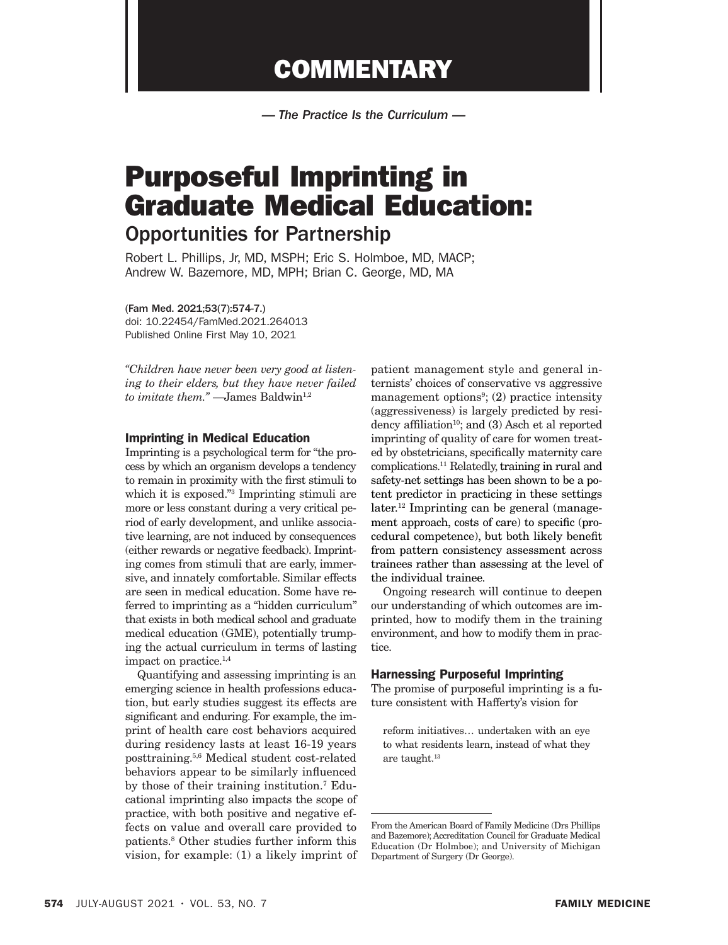## **COMMENTARY**

*— The Practice Is the Curriculum —*

# Purposeful Imprinting in Graduate Medical Education:

### Opportunities for Partnership

Robert L. Phillips, Jr, MD, MSPH; Eric S. Holmboe, MD, MACP; Andrew W. Bazemore, MD, MPH; Brian C. George, MD, MA

(Fam Med. 2021;53(7):574-7.) doi: 10.22454/FamMed.2021.264013 Published Online First May 10, 2021

*"Children have never been very good at listening to their elders, but they have never failed to imitate them.*" — James Baldwin<sup>1,2</sup>

#### Imprinting in Medical Education

Imprinting is a psychological term for "the process by which an organism develops a tendency to remain in proximity with the first stimuli to which it is exposed."3 Imprinting stimuli are more or less constant during a very critical period of early development, and unlike associative learning, are not induced by consequences (either rewards or negative feedback). Imprinting comes from stimuli that are early, immersive, and innately comfortable. Similar effects are seen in medical education. Some have referred to imprinting as a "hidden curriculum" that exists in both medical school and graduate medical education (GME), potentially trumping the actual curriculum in terms of lasting impact on practice.1,4

Quantifying and assessing imprinting is an emerging science in health professions education, but early studies suggest its effects are significant and enduring. For example, the imprint of health care cost behaviors acquired during residency lasts at least 16-19 years posttraining.5,6 Medical student cost-related behaviors appear to be similarly influenced by those of their training institution.7 Educational imprinting also impacts the scope of practice, with both positive and negative effects on value and overall care provided to patients.8 Other studies further inform this vision, for example: (1) a likely imprint of

patient management style and general internists' choices of conservative vs aggressive management options<sup>9</sup>; (2) practice intensity (aggressiveness) is largely predicted by residency affiliation<sup>10</sup>; and  $(3)$  Asch et al reported imprinting of quality of care for women treated by obstetricians, specifically maternity care complications.11 Relatedly, training in rural and safety-net settings has been shown to be a potent predictor in practicing in these settings later.<sup>12</sup> Imprinting can be general (management approach, costs of care) to specific (procedural competence), but both likely benefit from pattern consistency assessment across trainees rather than assessing at the level of the individual trainee.

Ongoing research will continue to deepen our understanding of which outcomes are imprinted, how to modify them in the training environment, and how to modify them in practice.

#### Harnessing Purposeful Imprinting

The promise of purposeful imprinting is a future consistent with Hafferty's vision for

reform initiatives… undertaken with an eye to what residents learn, instead of what they are taught.<sup>13</sup>

From the American Board of Family Medicine (Drs Phillips and Bazemore); Accreditation Council for Graduate Medical Education (Dr Holmboe); and University of Michigan Department of Surgery (Dr George).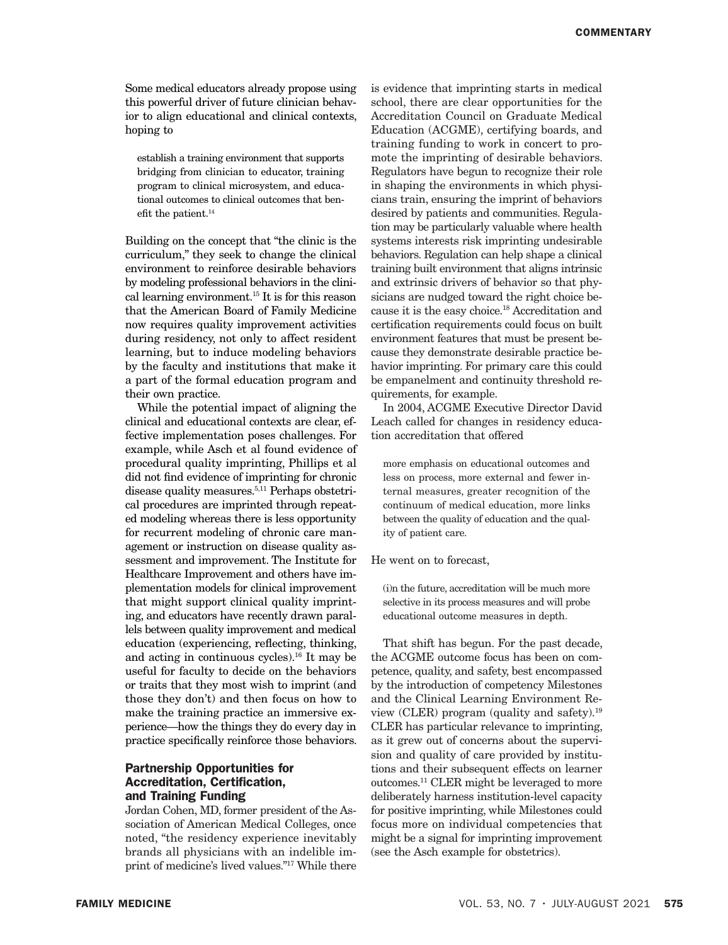Some medical educators already propose using this powerful driver of future clinician behavior to align educational and clinical contexts, hoping to

establish a training environment that supports bridging from clinician to educator, training program to clinical microsystem, and educational outcomes to clinical outcomes that benefit the patient.<sup>14</sup>

Building on the concept that "the clinic is the curriculum," they seek to change the clinical environment to reinforce desirable behaviors by modeling professional behaviors in the clinical learning environment.15 It is for this reason that the American Board of Family Medicine now requires quality improvement activities during residency, not only to affect resident learning, but to induce modeling behaviors by the faculty and institutions that make it a part of the formal education program and their own practice.

While the potential impact of aligning the clinical and educational contexts are clear, effective implementation poses challenges. For example, while Asch et al found evidence of procedural quality imprinting, Phillips et al did not find evidence of imprinting for chronic disease quality measures.5,11 Perhaps obstetrical procedures are imprinted through repeated modeling whereas there is less opportunity for recurrent modeling of chronic care management or instruction on disease quality assessment and improvement. The Institute for Healthcare Improvement and others have implementation models for clinical improvement that might support clinical quality imprinting, and educators have recently drawn parallels between quality improvement and medical education (experiencing, reflecting, thinking, and acting in continuous cycles).16 It may be useful for faculty to decide on the behaviors or traits that they most wish to imprint (and those they don't) and then focus on how to make the training practice an immersive experience—how the things they do every day in practice specifically reinforce those behaviors.

#### Partnership Opportunities for Accreditation, Certification, and Training Funding

Jordan Cohen, MD, former president of the Association of American Medical Colleges, once noted, "the residency experience inevitably brands all physicians with an indelible imprint of medicine's lived values."17 While there is evidence that imprinting starts in medical school, there are clear opportunities for the Accreditation Council on Graduate Medical Education (ACGME), certifying boards, and training funding to work in concert to promote the imprinting of desirable behaviors. Regulators have begun to recognize their role in shaping the environments in which physicians train, ensuring the imprint of behaviors desired by patients and communities. Regulation may be particularly valuable where health systems interests risk imprinting undesirable behaviors. Regulation can help shape a clinical training built environment that aligns intrinsic and extrinsic drivers of behavior so that physicians are nudged toward the right choice because it is the easy choice.18 Accreditation and certification requirements could focus on built environment features that must be present because they demonstrate desirable practice behavior imprinting. For primary care this could be empanelment and continuity threshold requirements, for example.

In 2004, ACGME Executive Director David Leach called for changes in residency education accreditation that offered

more emphasis on educational outcomes and less on process, more external and fewer internal measures, greater recognition of the continuum of medical education, more links between the quality of education and the quality of patient care.

He went on to forecast,

(i)n the future, accreditation will be much more selective in its process measures and will probe educational outcome measures in depth.

That shift has begun. For the past decade, the ACGME outcome focus has been on competence, quality, and safety, best encompassed by the introduction of competency Milestones and the Clinical Learning Environment Review (CLER) program (quality and safety).19 CLER has particular relevance to imprinting, as it grew out of concerns about the supervision and quality of care provided by institutions and their subsequent effects on learner outcomes.11 CLER might be leveraged to more deliberately harness institution-level capacity for positive imprinting, while Milestones could focus more on individual competencies that might be a signal for imprinting improvement (see the Asch example for obstetrics).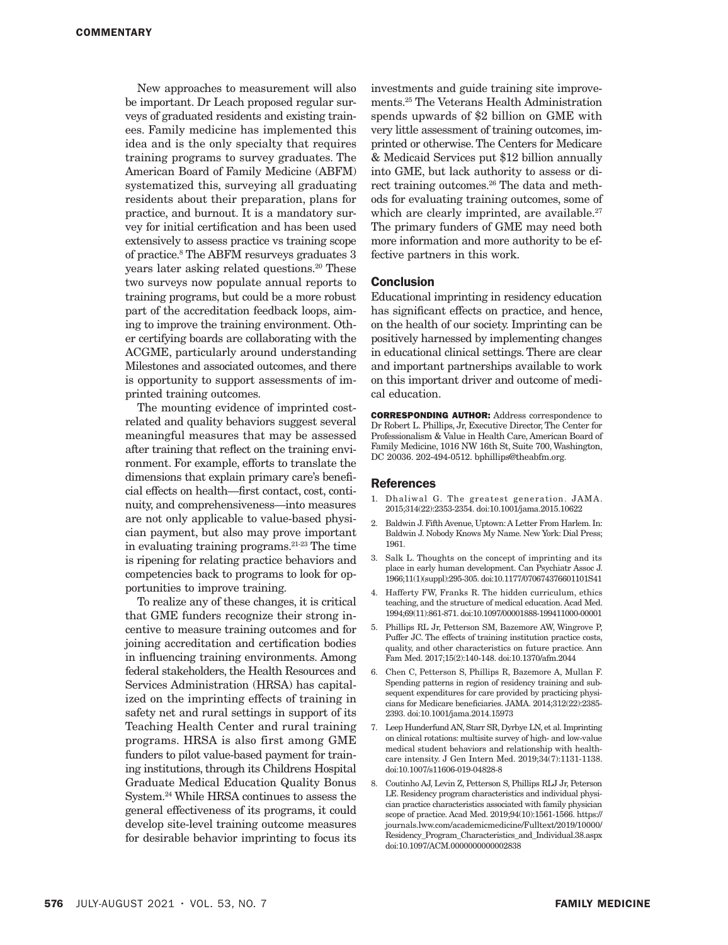New approaches to measurement will also be important. Dr Leach proposed regular surveys of graduated residents and existing trainees. Family medicine has implemented this idea and is the only specialty that requires training programs to survey graduates. The American Board of Family Medicine (ABFM) systematized this, surveying all graduating residents about their preparation, plans for practice, and burnout. It is a mandatory survey for initial certification and has been used extensively to assess practice vs training scope of practice.8 The ABFM resurveys graduates 3 years later asking related questions.<sup>20</sup> These two surveys now populate annual reports to training programs, but could be a more robust part of the accreditation feedback loops, aiming to improve the training environment. Other certifying boards are collaborating with the ACGME, particularly around understanding Milestones and associated outcomes, and there is opportunity to support assessments of imprinted training outcomes.

The mounting evidence of imprinted costrelated and quality behaviors suggest several meaningful measures that may be assessed after training that reflect on the training environment. For example, efforts to translate the dimensions that explain primary care's beneficial effects on health—first contact, cost, continuity, and comprehensiveness—into measures are not only applicable to value-based physician payment, but also may prove important in evaluating training programs.21-23 The time is ripening for relating practice behaviors and competencies back to programs to look for opportunities to improve training.

To realize any of these changes, it is critical that GME funders recognize their strong incentive to measure training outcomes and for joining accreditation and certification bodies in influencing training environments. Among federal stakeholders, the Health Resources and Services Administration (HRSA) has capitalized on the imprinting effects of training in safety net and rural settings in support of its Teaching Health Center and rural training programs. HRSA is also first among GME funders to pilot value-based payment for training institutions, through its Childrens Hospital Graduate Medical Education Quality Bonus System.24 While HRSA continues to assess the general effectiveness of its programs, it could develop site-level training outcome measures for desirable behavior imprinting to focus its

investments and guide training site improvements.25 The Veterans Health Administration spends upwards of \$2 billion on GME with very little assessment of training outcomes, imprinted or otherwise. The Centers for Medicare & Medicaid Services put \$12 billion annually into GME, but lack authority to assess or direct training outcomes.<sup>26</sup> The data and methods for evaluating training outcomes, some of which are clearly imprinted, are available.<sup>27</sup> The primary funders of GME may need both more information and more authority to be effective partners in this work.

#### Conclusion

Educational imprinting in residency education has significant effects on practice, and hence, on the health of our society. Imprinting can be positively harnessed by implementing changes in educational clinical settings. There are clear and important partnerships available to work on this important driver and outcome of medical education.

CORRESPONDING AUTHOR: Address correspondence to Dr Robert L. Phillips, Jr, Executive Director, The Center for Professionalism & Value in Health Care, American Board of Family Medicine, 1016 NW 16th St, Suite 700, Washington, DC 20036. 202-494-0512. bphillips@theabfm.org.

#### References

- 1. Dhaliwal G. The greatest generation. JAMA. 2015;314(22):2353-2354. doi:10.1001/jama.2015.10622
- 2. Baldwin J. Fifth Avenue, Uptown: A Letter From Harlem. In: Baldwin J. Nobody Knows My Name. New York: Dial Press; 1961.
- 3. Salk L. Thoughts on the concept of imprinting and its place in early human development. Can Psychiatr Assoc J. 1966;11(1)(suppl):295-305. doi:10.1177/070674376601101S41
- 4. Hafferty FW, Franks R. The hidden curriculum, ethics teaching, and the structure of medical education. Acad Med. 1994;69(11):861-871. doi:10.1097/00001888-199411000-00001
- 5. Phillips RL Jr, Petterson SM, Bazemore AW, Wingrove P, Puffer JC. The effects of training institution practice costs, quality, and other characteristics on future practice. Ann Fam Med. 2017;15(2):140-148. doi:10.1370/afm.2044
- 6. Chen C, Petterson S, Phillips R, Bazemore A, Mullan F. Spending patterns in region of residency training and subsequent expenditures for care provided by practicing physicians for Medicare beneficiaries. JAMA. 2014;312(22):2385- 2393. doi:10.1001/jama.2014.15973
- 7. Leep Hunderfund AN, Starr SR, Dyrbye LN, et al. Imprinting on clinical rotations: multisite survey of high- and low-value medical student behaviors and relationship with healthcare intensity. J Gen Intern Med. 2019;34(7):1131-1138. doi:10.1007/s11606-019-04828-8
- 8. Coutinho AJ, Levin Z, Petterson S, Phillips RLJ Jr, Peterson LE. Residency program characteristics and individual physician practice characteristics associated with family physician scope of practice. Acad Med. 2019;94(10):1561-1566. https:// journals.lww.com/academicmedicine/Fulltext/2019/10000/ Residency\_Program\_Characteristics\_and\_Individual.38.aspx doi:10.1097/ACM.0000000000002838